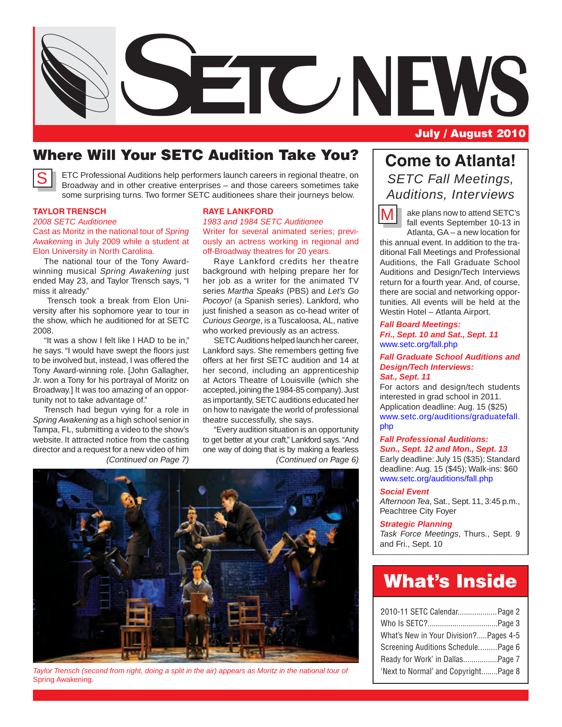

# Where Will Your SETC Audition Take You?

ETC Professional Auditions help performers launch careers in regional theatre, on Broadway and in other creative enterprises – and those careers sometimes take some surprising turns. Two former SETC auditionees share their journeys below.

### **TAYLOR TRENSCH**

S

### *2008 SETC Auditionee* Cast as Moritz in the national tour of *Spring Awakenin*g in July 2009 while a student at

Elon University in North Carolina. The national tour of the Tony Award-

winning musical *Spring Awakening* just ended May 23, and Taylor Trensch says, "I miss it already."

 Trensch took a break from Elon University after his sophomore year to tour in the show, which he auditioned for at SETC 2008.

"It was a show I felt like I HAD to be in," he says. "I would have swept the floors just to be involved but, instead, I was offered the Tony Award-winning role. [John Gallagher, Jr. won a Tony for his portrayal of Moritz on Broadway.] It was too amazing of an opportunity not to take advantage of."

Trensch had begun vying for a role in *Spring Awakening* as a high school senior in Tampa, FL, submitting a video to the show's website. It attracted notice from the casting director and a request for a new video of him *(Continued on Page 7)*

### **RAYE LANKFORD**

*1983 and 1984 SETC Auditionee* Writer for several animated series; previously an actress working in regional and off-Broadway theatres for 20 years.

Raye Lankford credits her theatre background with helping prepare her for her job as a writer for the animated TV series *Martha Speaks* (PBS) and *Let's Go Pocoyo!* (a Spanish series). Lankford, who just finished a season as co-head writer of *Curious George*, is a Tuscaloosa, AL, native who worked previously as an actress.

SETC Auditions helped launch her career, Lankford says. She remembers getting five offers at her first SETC audition and 14 at her second, including an apprenticeship at Actors Theatre of Louisville (which she accepted, joining the 1984-85 company). Just as importantly, SETC auditions educated her on how to navigate the world of professional theatre successfully, she says.

"Every audition situation is an opportunity to get better at your craft," Lankford says. "And one way of doing that is by making a fearless *(Continued on Page 6)*



*Taylor Trensch (second from right, doing a split in the air) appears as Moritz in the national tour of* Spring Awakening*.*

# **Come to Atlanta!** *SETC Fall Meetings, Auditions, Interviews*



ake plans now to attend SETC's fall events September 10-13 in

Atlanta, GA – a new location for this annual event. In addition to the traditional Fall Meetings and Professional Auditions, the Fall Graduate School Auditions and Design/Tech Interviews return for a fourth year. And, of course, there are social and networking opportunities. All events will be held at the Westin Hotel – Atlanta Airport.

### *Fall Board Meetings:*

*Fri., Sept. 10 and Sat., Sept. 11* www.setc.org/fall.php

#### *Fall Graduate School Auditions and Design/Tech Interviews: Sat., Sept. 11*

For actors and design/tech students interested in grad school in 2011. Application deadline: Aug. 15 (\$25) [www.setc.org/auditions/graduatefall.](http://www.setc.org/auditions/graduatefall.php) php

### *Fall Professional Auditions:*

*Sun., Sept. 12 and Mon., Sept. 13* Early deadline: July 15 (\$35); Standard deadline: Aug. 15 (\$45); Walk-ins: \$60 www.setc.org/auditions/fall.php

#### *Social Event*

*Afternoon Tea*, Sat., Sept. 11, 3:45 p.m., Peachtree City Foyer

#### *Strategic Planning*

*Task Force Meetings*, Thurs., Sept. 9 and Fri., Sept. 10

# What's Inside

| 2010-11 SETC Calendar Page 2          |  |
|---------------------------------------|--|
|                                       |  |
| What's New in Your Division?Pages 4-5 |  |
| Screening Auditions Schedule Page 6   |  |
| Ready for Work' in DallasPage 7       |  |
| 'Next to Normal' and CopyrightPage 8  |  |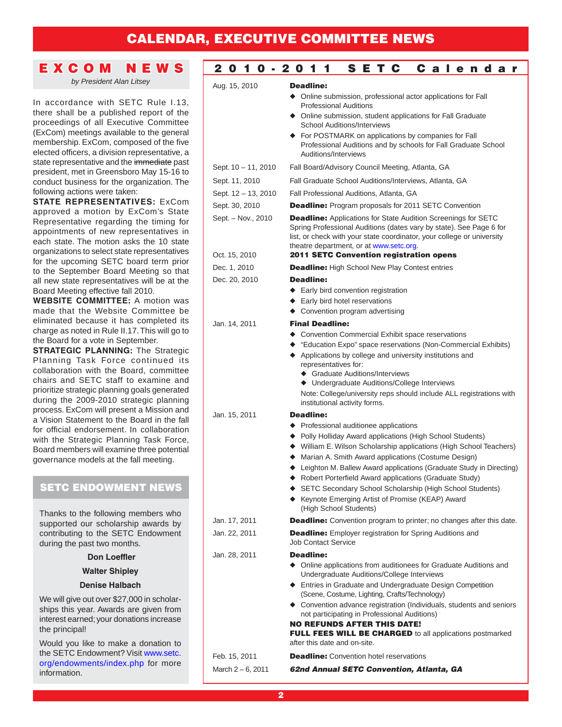| <b>EXCOM NEWS</b> |  |  |  |
|-------------------|--|--|--|
|-------------------|--|--|--|

*by President Alan Litsey*

In accordance with SETC Rule I.13, there shall be a published report of the proceedings of all Executive Committee (ExCom) meetings available to the general membership. ExCom, composed of the five elected officers, a division representative, a state representative and the immediate past president, met in Greensboro May 15-16 to conduct business for the organization. The following actions were taken:

**STATE REPRESENTATIVES:** ExCom approved a motion by ExCom's State Representative regarding the timing for appointments of new representatives in each state. The motion asks the 10 state organizations to select state representatives for the upcoming SETC board term prior to the September Board Meeting so that all new state representatives will be at the Board Meeting effective fall 2010.

**WEBSITE COMMITTEE:** A motion was made that the Website Committee be eliminated because it has completed its charge as noted in Rule II.17. This will go to the Board for a vote in September.

**STRATEGIC PLANNING: The Strategic** Planning Task Force continued its collaboration with the Board, committee chairs and SETC staff to examine and prioritize strategic planning goals generated during the 2009-2010 strategic planning process. ExCom will present a Mission and a Vision Statement to the Board in the fall for official endorsement. In collaboration with the Strategic Planning Task Force, Board members will examine three potential governance models at the fall meeting.

### SETC ENDOWMENT NEWS

Thanks to the following members who supported our scholarship awards by contributing to the SETC Endowment during the past two months.

### **Don Loeffler**

**Walter Shipley**

#### **Denise Halbach**

We will give out over \$27,000 in scholarships this year. Awards are given from interest earned; your donations increase the principal!

Would you like to make a donation to the SETC Endowment? Visit [www.setc.](http://www.setc.org/endowments/index.php) [org/endowments/index.php](http://www.setc.org/endowments/index.php) for more information.

### 2 0 1 0 - 2 0 1 1 S E T C C a l e n d a r

| Aug. 15, 2010       | <b>Deadline:</b><br>• Online submission, professional actor applications for Fall<br><b>Professional Auditions</b>                                                                                                                                                                                                                                                                                                                                                                                                     |  |  |
|---------------------|------------------------------------------------------------------------------------------------------------------------------------------------------------------------------------------------------------------------------------------------------------------------------------------------------------------------------------------------------------------------------------------------------------------------------------------------------------------------------------------------------------------------|--|--|
|                     | ◆ Online submission, student applications for Fall Graduate<br><b>School Auditions/Interviews</b>                                                                                                                                                                                                                                                                                                                                                                                                                      |  |  |
|                     | ♦ For POSTMARK on applications by companies for Fall<br>Professional Auditions and by schools for Fall Graduate School<br>Auditions/Interviews                                                                                                                                                                                                                                                                                                                                                                         |  |  |
| Sept. 10 - 11, 2010 | Fall Board/Advisory Council Meeting, Atlanta, GA                                                                                                                                                                                                                                                                                                                                                                                                                                                                       |  |  |
| Sept. 11, 2010      | Fall Graduate School Auditions/Interviews, Atlanta, GA                                                                                                                                                                                                                                                                                                                                                                                                                                                                 |  |  |
| Sept. 12 - 13, 2010 | Fall Professional Auditions, Atlanta, GA                                                                                                                                                                                                                                                                                                                                                                                                                                                                               |  |  |
| Sept. 30, 2010      | <b>Deadline:</b> Program proposals for 2011 SETC Convention                                                                                                                                                                                                                                                                                                                                                                                                                                                            |  |  |
| Sept. - Nov., 2010  | <b>Deadline:</b> Applications for State Audition Screenings for SETC<br>Spring Professional Auditions (dates vary by state). See Page 6 for<br>list, or check with your state coordinator, your college or university<br>theatre department, or at www.setc.org.                                                                                                                                                                                                                                                       |  |  |
| Oct. 15, 2010       | <b>2011 SETC Convention registration opens</b>                                                                                                                                                                                                                                                                                                                                                                                                                                                                         |  |  |
| Dec. 1, 2010        | <b>Deadline: High School New Play Contest entries</b>                                                                                                                                                                                                                                                                                                                                                                                                                                                                  |  |  |
| Dec. 20, 2010       | <b>Deadline:</b><br>♦ Early bird convention registration                                                                                                                                                                                                                                                                                                                                                                                                                                                               |  |  |
|                     | ← Early bird hotel reservations                                                                                                                                                                                                                                                                                                                                                                                                                                                                                        |  |  |
|                     | ♦ Convention program advertising                                                                                                                                                                                                                                                                                                                                                                                                                                                                                       |  |  |
| Jan. 14, 2011       | <b>Final Deadline:</b>                                                                                                                                                                                                                                                                                                                                                                                                                                                                                                 |  |  |
|                     | ♦ Convention Commercial Exhibit space reservations<br>◆ "Education Expo" space reservations (Non-Commercial Exhibits)<br>♦ Applications by college and university institutions and<br>representatives for:<br>♦ Graduate Auditions/Interviews<br>◆ Undergraduate Auditions/College Interviews<br>Note: College/university reps should include ALL registrations with<br>institutional activity forms.                                                                                                                  |  |  |
| Jan. 15, 2011       | <b>Deadline:</b>                                                                                                                                                                                                                                                                                                                                                                                                                                                                                                       |  |  |
|                     | ◆ Professional auditionee applications<br>◆ Polly Holliday Award applications (High School Students)<br>♦ William E. Wilson Scholarship applications (High School Teachers)<br>♦ Marian A. Smith Award applications (Costume Design)<br>◆ Leighton M. Ballew Award applications (Graduate Study in Directing)<br>◆ Robert Porterfield Award applications (Graduate Study)<br>◆ SETC Secondary School Scholarship (High School Students)<br>◆ Keynote Emerging Artist of Promise (KEAP) Award<br>(High School Students) |  |  |
| Jan. 17, 2011       | <b>Deadline:</b> Convention program to printer; no changes after this date.                                                                                                                                                                                                                                                                                                                                                                                                                                            |  |  |
| Jan. 22, 2011       | <b>Deadline:</b> Employer registration for Spring Auditions and<br><b>Job Contact Service</b>                                                                                                                                                                                                                                                                                                                                                                                                                          |  |  |
| Jan. 28, 2011       | <b>Deadline:</b>                                                                                                                                                                                                                                                                                                                                                                                                                                                                                                       |  |  |
|                     | • Online applications from auditionees for Graduate Auditions and<br>Undergraduate Auditions/College Interviews<br>♦ Entries in Graduate and Undergraduate Design Competition<br>(Scene, Costume, Lighting, Crafts/Technology)<br>◆ Convention advance registration (Individuals, students and seniors<br>not participating in Professional Auditions)<br><b>NO REFUNDS AFTER THIS DATE!</b><br><b>FULL FEES WILL BE CHARGED to all applications postmarked</b>                                                        |  |  |
|                     | after this date and on-site.                                                                                                                                                                                                                                                                                                                                                                                                                                                                                           |  |  |
| Feb. 15, 2011       | <b>Deadline:</b> Convention hotel reservations                                                                                                                                                                                                                                                                                                                                                                                                                                                                         |  |  |
| March 2-6, 2011     | 62nd Annual SETC Convention, Atlanta, GA                                                                                                                                                                                                                                                                                                                                                                                                                                                                               |  |  |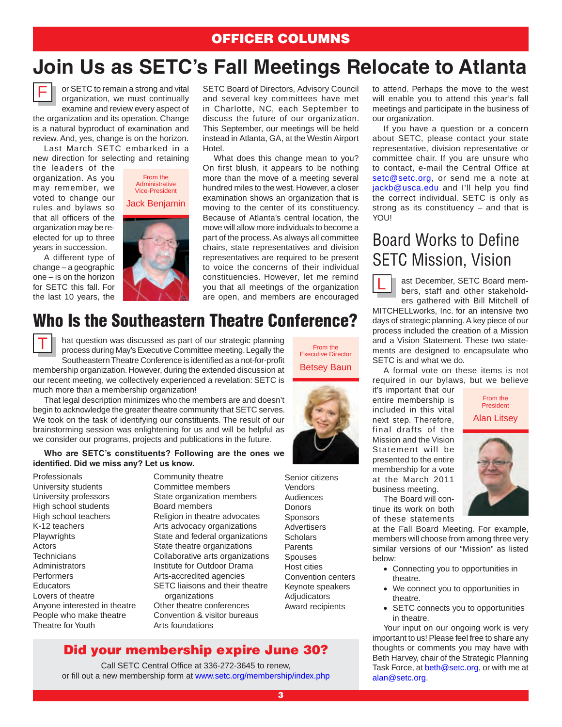### OFFICER COLUMNS

# **Join Us as SETC's Fall Meetings Relocate to Atlanta**



or SETC to remain a strong and vital organization, we must continually examine and review every aspect of

the organization and its operation. Change is a natural byproduct of examination and review. And, yes, change is on the horizon.

Last March SETC embarked in a new direction for selecting and retaining

the leaders of the organization. As you may remember, we voted to change our rules and bylaws so that all officers of the organization may be reelected for up to three years in succession.

A different type of change – a geographic one – is on the horizon for SETC this fall. For the last 10 years, the

From the Administrative Vice-President Jack Benjamin



SETC Board of Directors, Advisory Council and several key committees have met in Charlotte, NC, each September to discuss the future of our organization. This September, our meetings will be held instead in Atlanta, GA, at the Westin Airport Hotel.

What does this change mean to you? On first blush, it appears to be nothing more than the move of a meeting several hundred miles to the west. However, a closer examination shows an organization that is moving to the center of its constituency. Because of Atlanta's central location, the move will allow more individuals to become a part of the process. As always all committee chairs, state representatives and division representatives are required to be present to voice the concerns of their individual constituencies. However, let me remind you that all meetings of the organization are open, and members are encouraged to attend. Perhaps the move to the west will enable you to attend this year's fall meetings and participate in the business of our organization.

If you have a question or a concern about SETC, please contact your state representative, division representative or committee chair. If you are unsure who to contact, e-mail the Central Office at setc@setc.org, or send me a note at jackb@usca.edu and I'll help you find the correct individual. SETC is only as strong as its constituency – and that is YOU!

# Board Works to Define SETC Mission, Vision

ast December, SETC Board members, staff and other stakeholders gathered with Bill Mitchell of

MITCHELLworks, Inc. for an intensive two days of strategic planning. A key piece of our process included the creation of a Mission and a Vision Statement. These two statements are designed to encapsulate who SETC is and what we do.

A formal vote on these items is not required in our bylaws, but we believe

> From the **President** Alan Litsey

it's important that our entire membership is included in this vital next step. Therefore, final drafts of the Mission and the Vision Statement will be presented to the entire membership for a vote at the March 2011

tinue its work on both of these statements

at the Fall Board Meeting. For example, members will choose from among three very similar versions of our "Mission" as listed below:

- • Connecting you to opportunities in theatre.
- We connect you to opportunities in theatre.
- SETC connects you to opportunities in theatre.

Your input on our ongoing work is very important to us! Please feel free to share any thoughts or comments you may have with Beth Harvey, chair of the Strategic Planning Task Force, at beth@setc.org, or with me at alan@setc.org.

# Who Is the Southeastern Theatre Conference?



hat question was discussed as part of our strategic planning process during May's Executive Committee meeting. Legally the Southeastern Theatre Conference is identified as a not-for-profit membership organization. However, during the extended discussion at

our recent meeting, we collectively experienced a revelation: SETC is much more than a membership organization!

That legal description minimizes who the members are and doesn't begin to acknowledge the greater theatre community that SETC serves. We took on the task of identifying our constituents. The result of our brainstorming session was enlightening for us and will be helpful as we consider our programs, projects and publications in the future.

### **Who are SETC's constituents? Following are the ones we identified. Did we miss any? Let us know.**

Professionals University students University professors High school students High school teachers K-12 teachers **Playwrights** Actors **Technicians Administrators Performers Educators** Lovers of theatre Anyone interested in theatre People who make theatre Theatre for Youth

Community theatre Committee members State organization members Board members Religion in theatre advocates Arts advocacy organizations State and federal organizations State theatre organizations Collaborative arts organizations Institute for Outdoor Drama Arts-accredited agencies SETC liaisons and their theatre organizations Other theatre conferences Convention & visitor bureaus Arts foundations

Senior citizens Vendors Audiences **Donors** Sponsors **Advertisers Scholars** Parents Spouses Host cities Convention centers Keynote speakers Adjudicators

# Did your membership expire June 30?

Call SETC Central Office at 336-272-3645 to renew, or fill out a new membership form at www.setc.org/membership/index.php

From the Executive Director Betsey Baun



Award recipients

3

business meeting.

L

The Board will con-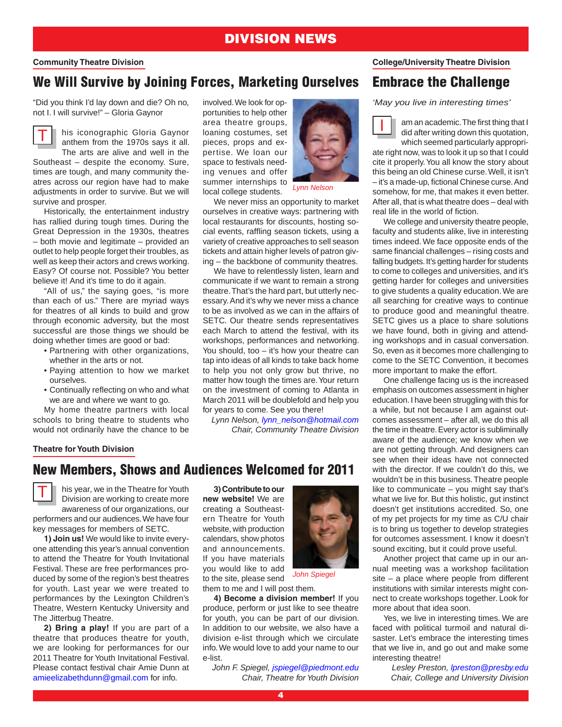### **Community Theatre Division**

# We Will Survive by Joining Forces, Marketing Ourselves

"Did you think I'd lay down and die? Oh no,



his iconographic Gloria Gaynor anthem from the 1970s says it all. The arts are alive and well in the

Southeast – despite the economy. Sure, times are tough, and many community theatres across our region have had to make adjustments in order to survive. But we will survive and prosper.

Historically, the entertainment industry has rallied during tough times. During the Great Depression in the 1930s, theatres – both movie and legitimate – provided an outlet to help people forget their troubles, as well as keep their actors and crews working. Easy? Of course not. Possible? You better believe it! And it's time to do it again.

"All of us," the saying goes, "is more than each of us." There are myriad ways for theatres of all kinds to build and grow through economic adversity, but the most successful are those things we should be doing whether times are good or bad:

- Partnering with other organizations, whether in the arts or not.
- Paying attention to how we market ourselves.
- Continually reflecting on who and what we are and where we want to go.

My home theatre partners with local schools to bring theatre to students who would not ordinarily have the chance to be

not I. I will survive!" – Gloria Gaynor



involved. We look for op-



I

*Lynn Nelson*

We never miss an opportunity to market ourselves in creative ways: partnering with local restaurants for discounts, hosting social events, raffling season tickets, using a variety of creative approaches to sell season tickets and attain higher levels of patron giving – the backbone of community theatres.

We have to relentlessly listen, learn and communicate if we want to remain a strong theatre. That's the hard part, but utterly necessary. And it's why we never miss a chance to be as involved as we can in the affairs of SETC. Our theatre sends representatives each March to attend the festival, with its workshops, performances and networking. You should, too – it's how your theatre can tap into ideas of all kinds to take back home to help you not only grow but thrive, no matter how tough the times are. Your return on the investment of coming to Atlanta in March 2011 will be doublefold and help you for years to come. See you there!

*Lynn Nelson, lynn\_nelson@hotmail.com Chair, Community Theatre Division* 

### **Theatre for Youth Division**

### New Members, Shows and Audiences Welcomed for 2011

T his year, we in the Theatre for Youth Division are working to create more awareness of our organizations, our performers and our audiences. We have four key messages for members of SETC.

**1) Join us!** We would like to invite everyone attending this year's annual convention to attend the Theatre for Youth Invitational Festival. These are free performances produced by some of the region's best theatres for youth. Last year we were treated to performances by the Lexington Children's Theatre, Western Kentucky University and The Jitterbug Theatre.

**2) Bring a play!** If you are part of a theatre that produces theatre for youth, we are looking for performances for our 2011 Theatre for Youth Invitational Festival. Please contact festival chair Amie Dunn at amieelizabethdunn@gmail.com for info.

**3) Contribute to our new website!** We are creating a Southeastern Theatre for Youth website, with production calendars, show photos and announcements. If you have materials you would like to add to the site, please send them to me and I will post them.



**4) Become a division member!** If you produce, perform or just like to see theatre for youth, you can be part of our division. In addition to our website, we also have a division e-list through which we circulate info. We would love to add your name to our e-list.

*John F. Spiegel, jspiegel@piedmont.edu Chair, Theatre for Youth Division*

### **College/University Theatre Division**

# Embrace the Challenge

*'May you live in interesting times'*

am an academic. The first thing that I did after writing down this quotation,

which seemed particularly appropriate right now, was to look it up so that I could cite it properly. You all know the story about this being an old Chinese curse. Well, it isn't – it's a made-up, fictional Chinese curse. And somehow, for me, that makes it even better. After all, that is what theatre does – deal with real life in the world of fiction.

We college and university theatre people, faculty and students alike, live in interesting times indeed. We face opposite ends of the same financial challenges – rising costs and falling budgets. It's getting harder for students to come to colleges and universities, and it's getting harder for colleges and universities to give students a quality education. We are all searching for creative ways to continue to produce good and meaningful theatre. SETC gives us a place to share solutions we have found, both in giving and attending workshops and in casual conversation. So, even as it becomes more challenging to come to the SETC Convention, it becomes more important to make the effort.

One challenge facing us is the increased emphasis on outcomes assessment in higher education. I have been struggling with this for a while, but not because I am against outcomes assessment – after all, we do this all the time in theatre. Every actor is subliminally aware of the audience; we know when we are not getting through. And designers can see when their ideas have not connected with the director. If we couldn't do this, we wouldn't be in this business. Theatre people like to communicate – you might say that's what we live for. But this holistic, gut instinct doesn't get institutions accredited. So, one of my pet projects for my time as C/U chair is to bring us together to develop strategies for outcomes assessment. I know it doesn't sound exciting, but it could prove useful.

Another project that came up in our annual meeting was a workshop facilitation site – a place where people from different institutions with similar interests might connect to create workshops together. Look for more about that idea soon.

Yes, we live in interesting times. We are faced with political turmoil and natural disaster. Let's embrace the interesting times that we live in, and go out and make some interesting theatre!

*Lesley Preston, lpreston@presby.edu Chair, College and University Division*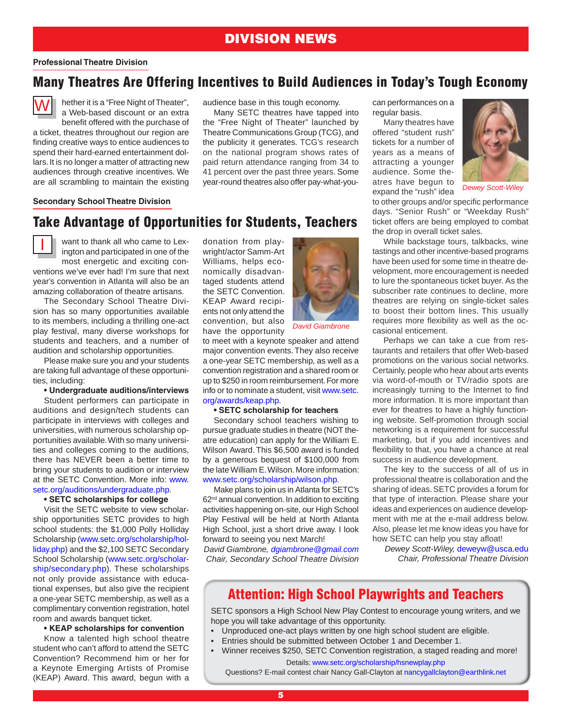### **Professional Theatre Division**

## Many Theatres Are Offering Incentives to Build Audiences in Today's Tough Economy



hether it is a "Free Night of Theater", a Web-based discount or an extra benefit offered with the purchase of

a ticket, theatres throughout our region are finding creative ways to entice audiences to spend their hard-earned entertainment dollars. It is no longer a matter of attracting new audiences through creative incentives. We are all scrambling to maintain the existing audience base in this tough economy.

Many SETC theatres have tapped into the "Free Night of Theater" launched by Theatre Communications Group (TCG), and the publicity it generates. TCG's research on the national program shows rates of paid return attendance ranging from 34 to 41 percent over the past three years. Some year-round theatres also offer pay-what-youcan performances on a regular basis.

Many theatres have offered "student rush" tickets for a number of years as a means of attracting a younger audience. Some theatres have begun to expand the "rush" idea to other groups and/or specific performance

casional enticement.



*Dewey Scott-Wiley*

**Secondary School Theatre Division**

## Take Advantage of Opportunities for Students, Teachers



want to thank all who came to Lexington and participated in one of the most energetic and exciting con-

ventions we've ever had! I'm sure that next year's convention in Atlanta will also be an amazing collaboration of theatre artisans.

The Secondary School Theatre Division has so many opportunities available to its members, including a thrilling one-act play festival, many diverse workshops for students and teachers, and a number of audition and scholarship opportunities.

Please make sure you and your students are taking full advantage of these opportunities, including:

### **• Undergraduate auditions/interviews**

Student performers can participate in auditions and design/tech students can participate in interviews with colleges and universities, with numerous scholarship opportunities available. With so many universities and colleges coming to the auditions, there has NEVER been a better time to bring your students to audition or interview at the SETC Convention. More info: [www.](http://www.setc.org/auditions/undergraduate.php) [setc.org/auditions/undergraduate.php.](http://www.setc.org/auditions/undergraduate.php)

#### **• SETC scholarships for college**

Visit the SETC website to view scholarship opportunities SETC provides to high school students: the \$1,000 Polly Holliday Scholarship [\(www.setc.org/scholarship/hol](http://www.setc.org/scholarship/holliday.php)[liday.php\)](http://www.setc.org/scholarship/holliday.php) and the \$2,100 SETC Secondary School Scholarship [\(www.setc.org/scholar](http://www.setc.org/scholarship/secondary.php)[ship/secondary.php\)](http://www.setc.org/scholarship/secondary.php). These scholarships not only provide assistance with educational expenses, but also give the recipient a one-year SETC membership, as well as a complimentary convention registration, hotel room and awards banquet ticket.

### **• KEAP scholarships for convention**

Know a talented high school theatre student who can't afford to attend the SETC Convention? Recommend him or her for a Keynote Emerging Artists of Promise (KEAP) Award. This award, begun with a donation from playwright/actor Samm-Art Williams, helps economically disadvantaged students attend the SETC Convention. KEAP Award recipients not only attend the convention, but also have the opportunity



to meet with a keynote speaker and attend major convention events. They also receive a one-year SETC membership, as well as a convention registration and a shared room or up to \$250 in room reimbursement. For more info or to nominate a student, visit [www.setc.](http://www.setc.org/awards/keap.php) [org/awards/keap.php.](http://www.setc.org/awards/keap.php)

### **• SETC scholarship for teachers**

Secondary school teachers wishing to pursue graduate studies in theatre (NOT theatre education) can apply for the William E. Wilson Award. This \$6,500 award is funded by a generous bequest of \$100,000 from the late William E. Wilson. More information: www.setc.org/scholarship/wilson.php.

Make plans to join us in Atlanta for SETC's 62<sup>nd</sup> annual convention. In addition to exciting activities happening on-site, our High School Play Festival will be held at North Atlanta High School, just a short drive away. I look forward to seeing you next March!

*David Giambrone, dgiambrone@gmail.com Chair, Secondary School Theatre Division* via word-of-mouth or TV/radio spots are increasingly turning to the Internet to find more information. It is more important than ever for theatres to have a highly functioning website. Self-promotion through social networking is a requirement for successful marketing, but if you add incentives and flexibility to that, you have a chance at real success in audience development. The key to the success of all of us in

days. "Senior Rush" or "Weekday Rush" ticket offers are being employed to combat

While backstage tours, talkbacks, wine tastings and other incentive-based programs have been used for some time in theatre development, more encouragement is needed to lure the spontaneous ticket buyer. As the subscriber rate continues to decline, more theatres are relying on single-ticket sales to boost their bottom lines. This usually requires more flexibility as well as the oc-

Perhaps we can take a cue from restaurants and retailers that offer Web-based promotions on the various social networks. Certainly, people who hear about arts events

the drop in overall ticket sales.

professional theatre is collaboration and the sharing of ideas. SETC provides a forum for that type of interaction. Please share your ideas and experiences on audience development with me at the e-mail address below. Also, please let me know ideas you have for how SETC can help you stay afloat!

*Dewey Scott-Wiley,* deweyw@usca.edu *Chair, Professional Theatre Division*

# Attention: High School Playwrights and Teachers

SETC sponsors a High School New Play Contest to encourage young writers, and we hope you will take advantage of this opportunity.

- Unproduced one-act plays written by one high school student are eligible.
- Entries should be submitted between October 1 and December 1.
- Winner receives \$250, SETC Convention registration, a staged reading and more! Details: www.setc.org/scholarship/hsnewplay.php

Questions? E-mail contest chair Nancy Gall-Clayton at nancygallclayton@earthlink.net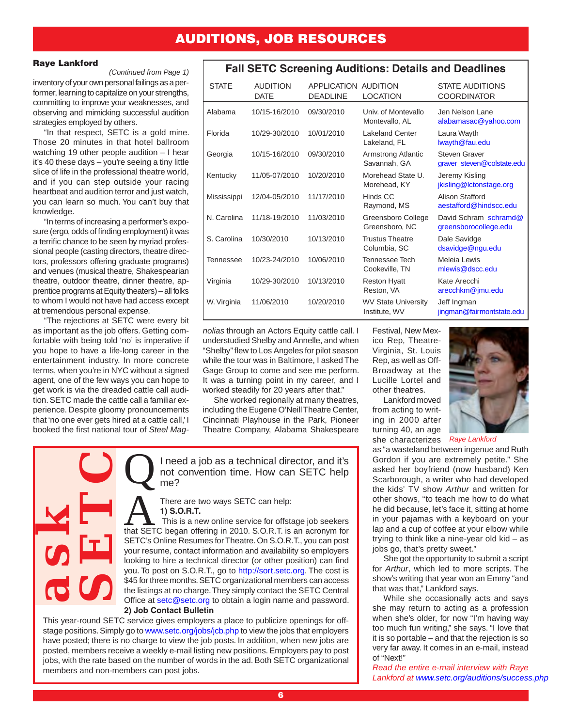### AUDITIONS, JOB RESOURCES

#### Raye Lankford

#### *(Continued from Page 1)*

inventory of your own personal failings as a performer, learning to capitalize on your strengths, committing to improve your weaknesses, and observing and mimicking successful audition strategies employed by others.

"In that respect, SETC is a gold mine. Those 20 minutes in that hotel ballroom watching 19 other people audition – I hear it's 40 these days – you're seeing a tiny little slice of life in the professional theatre world, and if you can step outside your racing heartbeat and audition terror and just watch, you can learn so much. You can't buy that knowledge.

"In terms of increasing a performer's exposure (ergo, odds of finding employment) it was a terrific chance to be seen by myriad professional people (casting directors, theatre directors, professors offering graduate programs) and venues (musical theatre, Shakespearian theatre, outdoor theatre, dinner theatre, apprentice programs at Equity theaters) – all folks to whom I would not have had access except at tremendous personal expense.

"The rejections at SETC were every bit as important as the job offers. Getting comfortable with being told 'no' is imperative if you hope to have a life-long career in the entertainment industry. In more concrete terms, when you're in NYC without a signed agent, one of the few ways you can hope to get work is via the dreaded cattle call audition. SETC made the cattle call a familiar experience. Despite gloomy pronouncements that 'no one ever gets hired at a cattle call,' I booked the first national tour of *Steel Mag-*

**S E T C**

**a s k**

| <b>STATE</b> | <b>AUDITION</b><br><b>DATE</b> | APPLICATION AUDITION<br><b>DEADLINE</b> | <b>LOCATION</b>                             | STATE AUDITIONS<br><b>COORDINATOR</b>          |
|--------------|--------------------------------|-----------------------------------------|---------------------------------------------|------------------------------------------------|
| Alabama      | 10/15-16/2010                  | 09/30/2010                              | Univ. of Montevallo<br>Montevallo, AL       | Jen Nelson Lane<br>alabamasac@yahoo.com        |
| Florida      | 10/29-30/2010                  | 10/01/2010                              | <b>Lakeland Center</b><br>Lakeland, FL      | Laura Wayth<br>Iwayth@fau.edu                  |
| Georgia      | 10/15-16/2010                  | 09/30/2010                              | Armstrong Atlantic<br>Savannah, GA          | Steven Graver<br>graver_steven@colstate.edu    |
| Kentucky     | 11/05-07/2010                  | 10/20/2010                              | Morehead State U.<br>Morehead, KY           | Jeremy Kisling<br>jkisling@lctonstage.org      |
| Mississippi  | 12/04-05/2010                  | 11/17/2010                              | Hinds CC<br>Raymond, MS                     | Alison Stafford<br>aestafford@hindscc.edu      |
| N. Carolina  | 11/18-19/2010                  | 11/03/2010                              | Greensboro College<br>Greensboro, NC        | David Schram schramd@<br>greensborocollege.edu |
| S. Carolina  | 10/30/2010                     | 10/13/2010                              | <b>Trustus Theatre</b><br>Columbia, SC      | Dale Savidge<br>dsavidge@ngu.edu               |
| Tennessee    | 10/23-24/2010                  | 10/06/2010                              | <b>Tennessee Tech</b><br>Cookeville, TN     | Meleia Lewis<br>mlewis@dscc.edu                |
| Virginia     | 10/29-30/2010                  | 10/13/2010                              | <b>Reston Hyatt</b><br>Reston, VA           | Kate Arecchi<br>arecchkm@jmu.edu               |
| W. Virginia  | 11/06/2010                     | 10/20/2010                              | <b>WV State University</b><br>Institute, WV | Jeff Ingman<br>jingman@fairmontstate.edu       |

**Fall SETC Screening Auditions: Details and Deadlines**

*nolias* through an Actors Equity cattle call. I understudied Shelby and Annelle, and when "Shelby" flew to Los Angeles for pilot season while the tour was in Baltimore, I asked The Gage Group to come and see me perform. It was a turning point in my career, and I worked steadily for 20 years after that."

She worked regionally at many theatres, including the Eugene O'Neill Theatre Center, Cincinnati Playhouse in the Park, Pioneer Theatre Company, Alabama Shakespeare

I need a job as a technical director, and it's<br>not convention time. How can SETC help<br>me?

**1) S.O.R.T.**

There are two ways SETC can help:<br>
1) S.O.R.T.<br>
that SETC began offering in 2010. S.O.R.T. is an acronym for This is a new online service for offstage job seekers SETC's Online Resumes for Theatre. On S.O.R.T., you can post your resume, contact information and availability so employers looking to hire a technical director (or other position) can find you. To post on S.O.R.T., go to http://sort.setc.org. The cost is \$45 for three months. SETC organizational members can access the listings at no charge. They simply contact the SETC Central Office at setc@setc.org to obtain a login name and password. **2) Job Contact Bulletin** 

This year-round SETC service gives employers a place to publicize openings for offstage positions. Simply go to www.setc.org/jobs/jcb.php to view the jobs that employers have posted; there is no charge to view the job posts. In addition, when new jobs are posted, members receive a weekly e-mail listing new positions. Employers pay to post jobs, with the rate based on the number of words in the ad. Both SETC organizational members and non-members can post jobs.

Festival, New Mexico Rep, Theatre-Virginia, St. Louis Rep, as well as Off-Broadway at the Lucille Lortel and other theatres.

Lankford moved from acting to writing in 2000 after turning 40, an age she characterizes



*Raye Lankford*

as "a wasteland between ingenue and Ruth Gordon if you are extremely petite." She asked her boyfriend (now husband) Ken Scarborough, a writer who had developed the kids' TV show *Arthur* and written for other shows, "to teach me how to do what he did because, let's face it, sitting at home in your pajamas with a keyboard on your lap and a cup of coffee at your elbow while trying to think like a nine-year old kid – as jobs go, that's pretty sweet."

She got the opportunity to submit a script for *Arthur*, which led to more scripts. The show's writing that year won an Emmy "and that was that," Lankford says.

While she occasionally acts and says she may return to acting as a profession when she's older, for now "I'm having way too much fun writing," she says. "I love that it is so portable – and that the rejection is so very far away. It comes in an e-mail, instead of "Next!"

*Read the entire e-mail interview with Raye Lankford at www.setc.org/[auditions/success.php](http://www.setc.org/auditions/success.php)*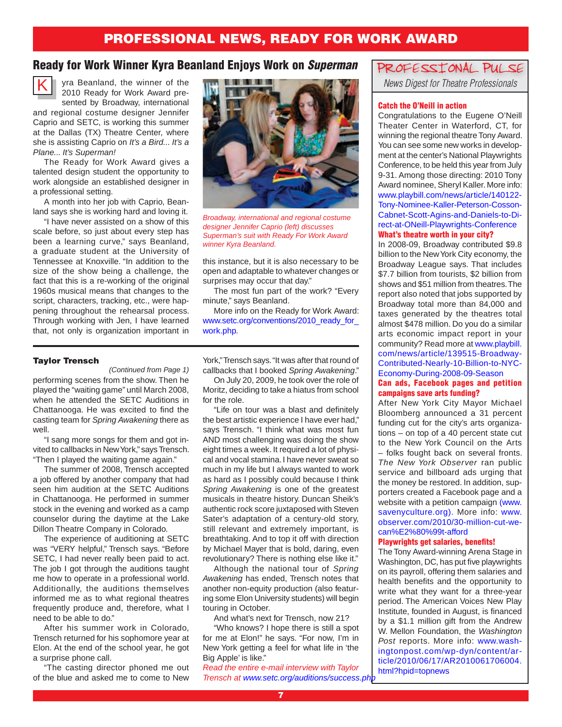### PROFESSIONAL NEWS, READY FOR WORK AWARD

### Ready for Work Winner Kyra Beanland Enjoys Work on *Superman*

K

yra Beanland, the winner of the 2010 Ready for Work Award presented by Broadway, international

and regional costume designer Jennifer Caprio and SETC, is working this summer at the Dallas (TX) Theatre Center, where she is assisting Caprio on *It's a Bird... It's a Plane... It's Superman!*

The Ready for Work Award gives a talented design student the opportunity to work alongside an established designer in a professional setting.

A month into her job with Caprio, Beanland says she is working hard and loving it.

"I have never assisted on a show of this scale before, so just about every step has been a learning curve," says Beanland, a graduate student at the University of Tennessee at Knoxville. "In addition to the size of the show being a challenge, the fact that this is a re-working of the original 1960s musical means that changes to the script, characters, tracking, etc., were happening throughout the rehearsal process. Through working with Jen, I have learned that, not only is organization important in



*Broadway, international and regional costume designer Jennifer Caprio (left) discusses Superman's suit with Ready For Work Award winner Kyra Beanland.*

this instance, but it is also necessary to be open and adaptable to whatever changes or surprises may occur that day."

The most fun part of the work? "Every minute," says Beanland.

More info on the Ready for Work Award: [www.setc.org/conventions/2010\\_ready\\_for\\_](http://www.setc.org/conventions/2010_ready_for_work.php) work.php.

### Taylor Trensch

*(Continued from Page 1)* 

performing scenes from the show. Then he played the "waiting game" until March 2008, when he attended the SETC Auditions in Chattanooga. He was excited to find the casting team for *Spring Awakening* there as well.

"I sang more songs for them and got invited to callbacks in New York," says Trensch. "Then I played the waiting game again."

The summer of 2008, Trensch accepted a job offered by another company that had seen him audition at the SETC Auditions in Chattanooga. He performed in summer stock in the evening and worked as a camp counselor during the daytime at the Lake Dillon Theatre Company in Colorado.

The experience of auditioning at SETC was "VERY helpful," Trensch says. "Before SETC, I had never really been paid to act. The job I got through the auditions taught me how to operate in a professional world. Additionally, the auditions themselves informed me as to what regional theatres frequently produce and, therefore, what I need to be able to do."

After his summer work in Colorado, Trensch returned for his sophomore year at Elon. At the end of the school year, he got a surprise phone call.

"The casting director phoned me out of the blue and asked me to come to New York," Trensch says. "It was after that round of callbacks that I booked *Spring Awakening*."

On July 20, 2009, he took over the role of Moritz, deciding to take a hiatus from school for the role.

"Life on tour was a blast and definitely the best artistic experience I have ever had," says Trensch. "I think what was most fun AND most challenging was doing the show eight times a week. It required a lot of physical and vocal stamina. I have never sweat so much in my life but I always wanted to work as hard as I possibly could because I think *Spring Awakening* is one of the greatest musicals in theatre history. Duncan Sheik's authentic rock score juxtaposed with Steven Sater's adaptation of a century-old story, still relevant and extremely important, is breathtaking. And to top it off with direction by Michael Mayer that is bold, daring, even revolutionary? There is nothing else like it."

Although the national tour of *Spring Awakening* has ended, Trensch notes that another non-equity production (also featuring some Elon University students) will begin touring in October.

And what's next for Trensch, now 21?

"Who knows? I hope there is still a spot for me at Elon!" he says. "For now, I'm in New York getting a feel for what life in 'the Big Apple' is like."

*Read the entire e-mail interview with Taylor Trensch at www.setc.org/[auditions/success.php](http://www.setc.org/auditions/success.php)*

# PROFESSIONAL PULSE

*News Digest for Theatre Professionals*

### Catch the O'Neill in action

Congratulations to the Eugene O'Neill Theater Center in Waterford, CT, for winning the regional theatre Tony Award. You can see some new works in development at the center's National Playwrights Conference, to be held this year from July 9-31. Among those directing: 2010 Tony Award nominee, Sheryl Kaller. More info: www.playbill.com/news/article/140122- Tony-Nominee-Kaller-Peterson-Cosson-Cabnet-Scott-Agins-and-Daniels-to-Direct-at-ONeill-Playwrights-Conference What's theatre worth in your city?

In 2008-09, Broadway contributed \$9.8 billion to the New York City economy, the Broadway League says. That includes \$7.7 billion from tourists, \$2 billion from shows and \$51 million from theatres. The report also noted that jobs supported by Broadway total more than 84,000 and taxes generated by the theatres total almost \$478 million. Do you do a similar arts economic impact report in your community? Read more at [www.playbill.](www.playbill.com/news/article/139515-Broadway-Contributed-Nearly-10-Billion-to-NYCEconomy-During-2008-09-Season) com/news/article/139515-Broadway-[Contributed-Nearly-10-Billion-to-NYC-](www.playbill.com/news/article/139515-Broadway-Contributed-Nearly-10-Billion-to-NYCEconomy-During-2008-09-Season)Economy-During-2008-09-Season Can ads, Facebook pages and petition

# campaigns save arts funding?

After New York City Mayor Michael Bloomberg announced a 31 percent funding cut for the city's arts organizations – on top of a 40 percent state cut to the New York Council on the Arts – folks fought back on several fronts. *The New York Observer* ran public service and billboard ads urging that the money be restored. In addition, supporters created a Facebook page and a website with a petition campaign (www. savenyculture.org). More info: www. observer.com/2010/30-million-cut-wecan%E2%80%99t-afford

#### Playwrights get salaries, benefits!

The Tony Award-winning Arena Stage in Washington, DC, has put five playwrights on its payroll, offering them salaries and health benefits and the opportunity to write what they want for a three-year period. The American Voices New Play Institute, founded in August, is financed by a \$1.1 million gift from the Andrew W. Mellon Foundation, the *Washington Post* reports. More info: www.washingtonpost.com/wp-dyn/content/article/2010/06/17/AR2010061706004. html?hpid=topnews